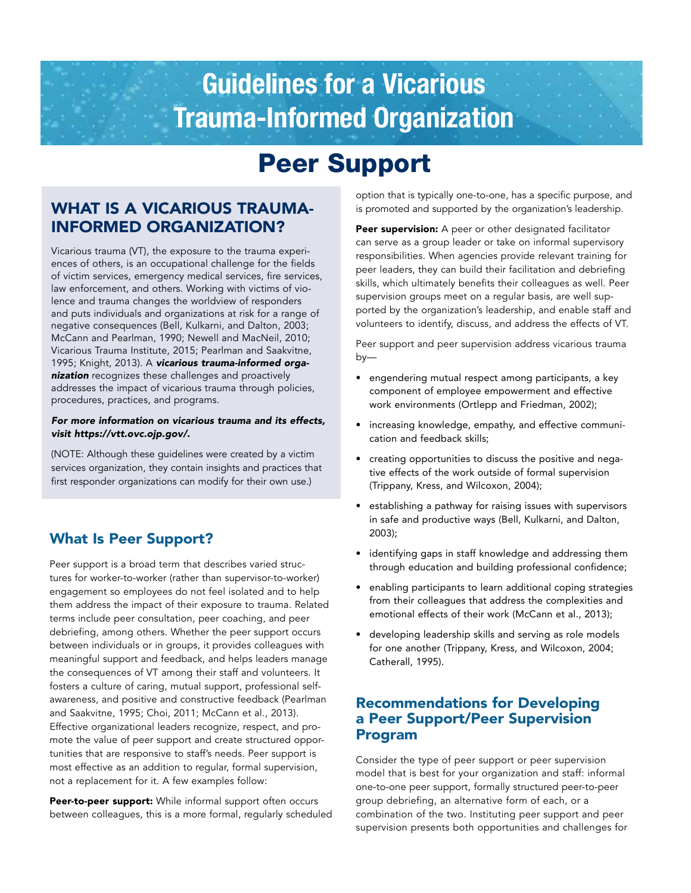# Guidelines for a Vicarious Trauma-Informed Organization

## Peer Support

## WHAT IS A VICARIOUS TRAUMA-INFORMED ORGANIZATION?

Vicarious trauma (VT), the exposure to the trauma experiences of others, is an occupational challenge for the fields of victim services, emergency medical services, fire services, law enforcement, and others. Working with victims of violence and trauma changes the worldview of responders and puts individuals and organizations at risk for a range of negative consequences (Bell, Kulkarni, and Dalton, 2003; McCann and Pearlman, 1990; Newell and MacNeil, 2010; Vicarious Trauma Institute, 2015; Pearlman and Saakvitne, 1995; Knight, 2013). A *vicarious trauma-informed organization* recognizes these challenges and proactively addresses the impact of vicarious trauma through policies, procedures, practices, and programs.

#### *For more information on vicarious trauma and its effects, visit [https://vtt.ovc.ojp.gov/.](https://vtt.ovc.ojp.gov/)*

(NOTE: Although these guidelines were created by a victim services organization, they contain insights and practices that first responder organizations can modify for their own use.)

## What Is Peer Support?

Peer support is a broad term that describes varied structures for worker-to-worker (rather than supervisor-to-worker) engagement so employees do not feel isolated and to help them address the impact of their exposure to trauma. Related terms include peer consultation, peer coaching, and peer debriefing, among others. Whether the peer support occurs between individuals or in groups, it provides colleagues with meaningful support and feedback, and helps leaders manage the consequences of VT among their staff and volunteers. It fosters a culture of caring, mutual support, professional selfawareness, and positive and constructive feedback (Pearlman and Saakvitne, 1995; Choi, 2011; McCann et al., 2013). Effective organizational leaders recognize, respect, and promote the value of peer support and create structured opportunities that are responsive to staff's needs. Peer support is most effective as an addition to regular, formal supervision, not a replacement for it. A few examples follow:

Peer-to-peer support: While informal support often occurs between colleagues, this is a more formal, regularly scheduled

option that is typically one-to-one, has a specific purpose, and is promoted and supported by the organization's leadership.

Peer supervision: A peer or other designated facilitator can serve as a group leader or take on informal supervisory responsibilities. When agencies provide relevant training for peer leaders, they can build their facilitation and debriefing skills, which ultimately benefits their colleagues as well. Peer supervision groups meet on a regular basis, are well supported by the organization's leadership, and enable staff and volunteers to identify, discuss, and address the effects of VT.

Peer support and peer supervision address vicarious trauma by—

- • engendering mutual respect among participants, a key component of employee empowerment and effective work environments (Ortlepp and Friedman, 2002);
- increasing knowledge, empathy, and effective communication and feedback skills;
- • creating opportunities to discuss the positive and negative effects of the work outside of formal supervision (Trippany, Kress, and Wilcoxon, 2004);
- • establishing a pathway for raising issues with supervisors in safe and productive ways (Bell, Kulkarni, and Dalton, 2003);
- identifying gaps in staff knowledge and addressing them through education and building professional confidence;
- • enabling participants to learn additional coping strategies from their colleagues that address the complexities and emotional effects of their work (McCann et al., 2013);
- • developing leadership skills and serving as role models for one another (Trippany, Kress, and Wilcoxon, 2004; Catherall, 1995).

## Recommendations for Developing a Peer Support/Peer Supervision Program

Consider the type of peer support or peer supervision model that is best for your organization and staff: informal one-to-one peer support, formally structured peer-to-peer group debriefing, an alternative form of each, or a combination of the two. Instituting peer support and peer supervision presents both opportunities and challenges for